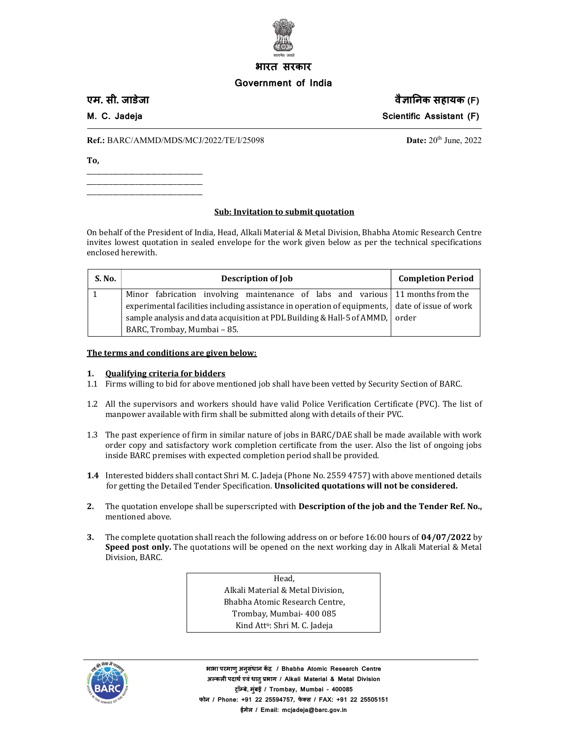

# भारत सरकार

## Government of India

एम. सी. जाडेजा वैसालिक सहायक (F)

M. C. Jadeja Scientific Assistant (F) and Scientific Assistant (F)

 **Ref.:** BARC/AMMD/MDS/MCJ/2022/TE/I/25098 **Date:** 20<sup>th</sup> June, 2022

To,

\_\_\_\_\_\_\_\_\_\_\_\_\_\_\_\_\_\_\_\_\_\_\_\_\_\_\_\_\_\_\_\_\_\_\_\_ \_\_\_\_\_\_\_\_\_\_\_\_\_\_\_\_\_\_\_\_\_\_\_\_\_\_\_\_\_\_\_\_\_\_\_\_ \_\_\_\_\_\_\_\_\_\_\_\_\_\_\_\_\_\_\_\_\_\_\_\_\_\_\_\_\_\_\_\_\_\_\_\_

#### Sub: Invitation to submit quotation

On behalf of the President of India, Head, Alkali Material & Metal Division, Bhabha Atomic Research Centre invites lowest quotation in sealed envelope for the work given below as per the technical specifications enclosed herewith.

| S. No. | <b>Description of Job</b>                                                                      | <b>Completion Period</b> |
|--------|------------------------------------------------------------------------------------------------|--------------------------|
|        | Minor fabrication involving maintenance of labs and various 11 months from the                 |                          |
|        | experimental facilities including assistance in operation of equipments, date of issue of work |                          |
|        | sample analysis and data acquisition at PDL Building & Hall-5 of AMMD, order                   |                          |
|        | BARC, Trombay, Mumbai - 85.                                                                    |                          |

The terms and conditions are given below:

#### 1. Qualifying criteria for bidders

- 1.1 Firms willing to bid for above mentioned job shall have been vetted by Security Section of BARC.
- 1.2 All the supervisors and workers should have valid Police Verification Certificate (PVC). The list of manpower available with firm shall be submitted along with details of their PVC.
- 1.3 The past experience of firm in similar nature of jobs in BARC/DAE shall be made available with work order copy and satisfactory work completion certificate from the user. Also the list of ongoing jobs inside BARC premises with expected completion period shall be provided.
- 1.4 Interested bidders shall contact Shri M. C. Jadeja (Phone No. 2559 4757) with above mentioned details for getting the Detailed Tender Specification. Unsolicited quotations will not be considered.
- 2. The quotation envelope shall be superscripted with **Description of the job and the Tender Ref. No.**, mentioned above.
- 3. The complete quotation shall reach the following address on or before 16:00 hours of 04/07/2022 by Speed post only. The quotations will be opened on the next working day in Alkali Material & Metal Division, BARC.

Head, Alkali Material & Metal Division, Bhabha Atomic Research Centre, Trombay, Mumbai- 400 085 Kind Att<sup>n</sup>: Shri M. C. Jadeja



भाभा परमाण् अनुसंधान केंद्र / Bhabha Atomic Research Centre अल्कली पदार्थ एवं धात् प्रभाग / Alkali Material & Metal Division ट्रॉम्बे, मुंबई / Trombay, Mumbai - 400085 फोन / Phone: +91 22 25594757, फेक्स / FAX: +91 22 25505151 ईमेल / Email: mcjadeja@barc.gov.in